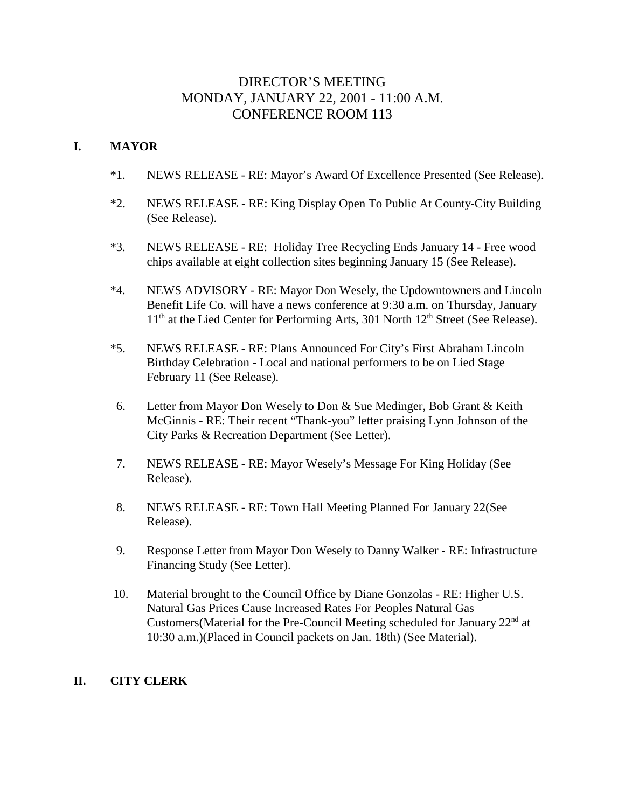# DIRECTOR'S MEETING MONDAY, JANUARY 22, 2001 - 11:00 A.M. CONFERENCE ROOM 113

## **I. MAYOR**

- \*1. NEWS RELEASE RE: Mayor's Award Of Excellence Presented (See Release).
- \*2. NEWS RELEASE RE: King Display Open To Public At County-City Building (See Release).
- \*3. NEWS RELEASE RE: Holiday Tree Recycling Ends January 14 Free wood chips available at eight collection sites beginning January 15 (See Release).
- \*4. NEWS ADVISORY RE: Mayor Don Wesely, the Updowntowners and Lincoln Benefit Life Co. will have a news conference at 9:30 a.m. on Thursday, January  $11<sup>th</sup>$  at the Lied Center for Performing Arts, 301 North  $12<sup>th</sup>$  Street (See Release).
- \*5. NEWS RELEASE RE: Plans Announced For City's First Abraham Lincoln Birthday Celebration - Local and national performers to be on Lied Stage February 11 (See Release).
- 6. Letter from Mayor Don Wesely to Don & Sue Medinger, Bob Grant & Keith McGinnis - RE: Their recent "Thank-you" letter praising Lynn Johnson of the City Parks & Recreation Department (See Letter).
- 7. NEWS RELEASE RE: Mayor Wesely's Message For King Holiday (See Release).
- 8. NEWS RELEASE RE: Town Hall Meeting Planned For January 22(See Release).
- 9. Response Letter from Mayor Don Wesely to Danny Walker RE: Infrastructure Financing Study (See Letter).
- 10. Material brought to the Council Office by Diane Gonzolas RE: Higher U.S. Natural Gas Prices Cause Increased Rates For Peoples Natural Gas Customers(Material for the Pre-Council Meeting scheduled for January 22<sup>nd</sup> at 10:30 a.m.)(Placed in Council packets on Jan. 18th) (See Material).

## **II. CITY CLERK**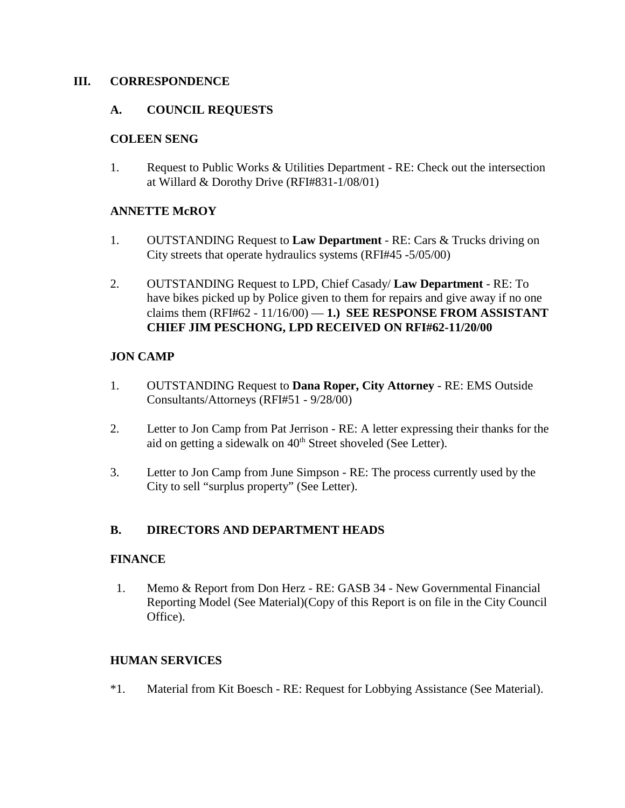### **III. CORRESPONDENCE**

## **A. COUNCIL REQUESTS**

### **COLEEN SENG**

1. Request to Public Works & Utilities Department - RE: Check out the intersection at Willard & Dorothy Drive (RFI#831-1/08/01)

### **ANNETTE McROY**

- 1. OUTSTANDING Request to **Law Department** RE: Cars & Trucks driving on City streets that operate hydraulics systems (RFI#45 -5/05/00)
- 2. OUTSTANDING Request to LPD, Chief Casady/ **Law Department** RE: To have bikes picked up by Police given to them for repairs and give away if no one claims them  $(RFI#62 - 11/16/00) - 1$ .) **SEE RESPONSE FROM ASSISTANT CHIEF JIM PESCHONG, LPD RECEIVED ON RFI#62-11/20/00**

## **JON CAMP**

- 1. OUTSTANDING Request to **Dana Roper, City Attorney** RE: EMS Outside Consultants/Attorneys (RFI#51 - 9/28/00)
- 2. Letter to Jon Camp from Pat Jerrison RE: A letter expressing their thanks for the aid on getting a sidewalk on  $40<sup>th</sup>$  Street shoveled (See Letter).
- 3. Letter to Jon Camp from June Simpson RE: The process currently used by the City to sell "surplus property" (See Letter).

## **B. DIRECTORS AND DEPARTMENT HEADS**

### **FINANCE**

1. Memo & Report from Don Herz - RE: GASB 34 - New Governmental Financial Reporting Model (See Material)(Copy of this Report is on file in the City Council Office).

### **HUMAN SERVICES**

\*1. Material from Kit Boesch - RE: Request for Lobbying Assistance (See Material).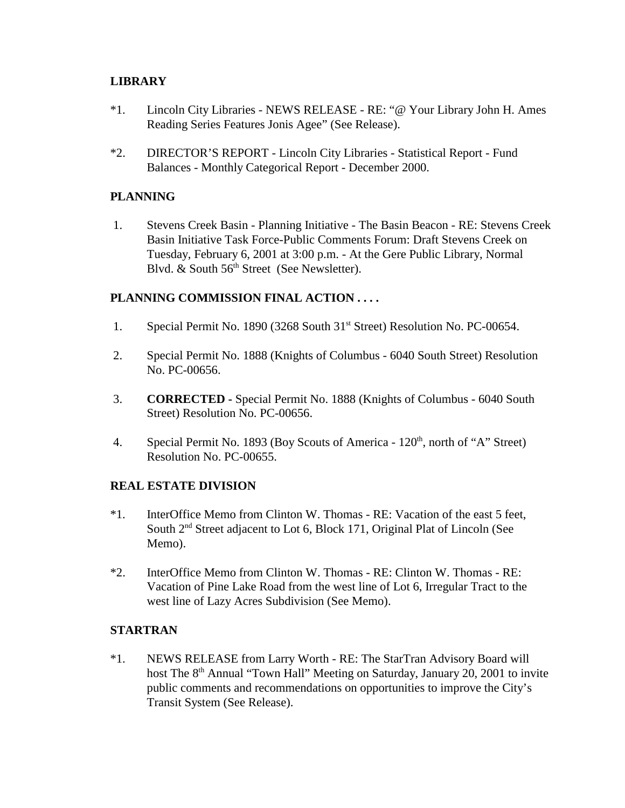## **LIBRARY**

- \*1. Lincoln City Libraries NEWS RELEASE RE: "@ Your Library John H. Ames Reading Series Features Jonis Agee" (See Release).
- \*2. DIRECTOR'S REPORT Lincoln City Libraries Statistical Report Fund Balances - Monthly Categorical Report - December 2000.

## **PLANNING**

 1. Stevens Creek Basin - Planning Initiative - The Basin Beacon - RE: Stevens Creek Basin Initiative Task Force-Public Comments Forum: Draft Stevens Creek on Tuesday, February 6, 2001 at 3:00 p.m. - At the Gere Public Library, Normal Blvd. & South 56<sup>th</sup> Street (See Newsletter).

## **PLANNING COMMISSION FINAL ACTION . . . .**

- 1. Special Permit No. 1890 (3268 South 31<sup>st</sup> Street) Resolution No. PC-00654.
- 2. Special Permit No. 1888 (Knights of Columbus 6040 South Street) Resolution No. PC-00656.
- 3. **CORRECTED** Special Permit No. 1888 (Knights of Columbus 6040 South Street) Resolution No. PC-00656.
- 4. Special Permit No. 1893 (Boy Scouts of America 120<sup>th</sup>, north of "A" Street) Resolution No. PC-00655.

## **REAL ESTATE DIVISION**

- \*1. InterOffice Memo from Clinton W. Thomas RE: Vacation of the east 5 feet, South 2<sup>nd</sup> Street adjacent to Lot 6, Block 171, Original Plat of Lincoln (See Memo).
- \*2. InterOffice Memo from Clinton W. Thomas RE: Clinton W. Thomas RE: Vacation of Pine Lake Road from the west line of Lot 6, Irregular Tract to the west line of Lazy Acres Subdivision (See Memo).

## **STARTRAN**

\*1. NEWS RELEASE from Larry Worth - RE: The StarTran Advisory Board will host The 8<sup>th</sup> Annual "Town Hall" Meeting on Saturday, January 20, 2001 to invite public comments and recommendations on opportunities to improve the City's Transit System (See Release).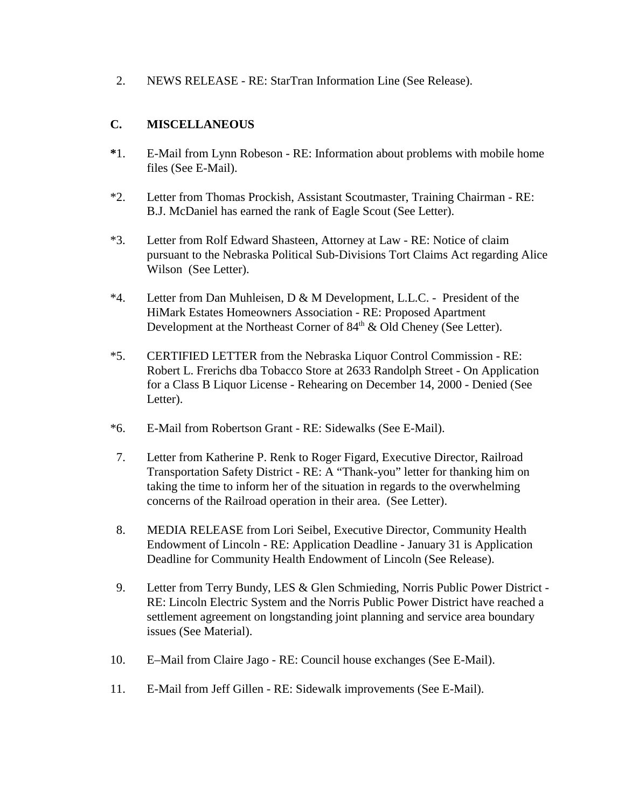2. NEWS RELEASE - RE: StarTran Information Line (See Release).

## **C. MISCELLANEOUS**

- **\***1. E-Mail from Lynn Robeson RE: Information about problems with mobile home files (See E-Mail).
- \*2. Letter from Thomas Prockish, Assistant Scoutmaster, Training Chairman RE: B.J. McDaniel has earned the rank of Eagle Scout (See Letter).
- \*3. Letter from Rolf Edward Shasteen, Attorney at Law RE: Notice of claim pursuant to the Nebraska Political Sub-Divisions Tort Claims Act regarding Alice Wilson (See Letter).
- \*4. Letter from Dan Muhleisen, D & M Development, L.L.C. President of the HiMark Estates Homeowners Association - RE: Proposed Apartment Development at the Northeast Corner of  $84<sup>th</sup>$  & Old Cheney (See Letter).
- \*5. CERTIFIED LETTER from the Nebraska Liquor Control Commission RE: Robert L. Frerichs dba Tobacco Store at 2633 Randolph Street - On Application for a Class B Liquor License - Rehearing on December 14, 2000 - Denied (See Letter).
- \*6. E-Mail from Robertson Grant RE: Sidewalks (See E-Mail).
- 7. Letter from Katherine P. Renk to Roger Figard, Executive Director, Railroad Transportation Safety District - RE: A "Thank-you" letter for thanking him on taking the time to inform her of the situation in regards to the overwhelming concerns of the Railroad operation in their area. (See Letter).
- 8. MEDIA RELEASE from Lori Seibel, Executive Director, Community Health Endowment of Lincoln - RE: Application Deadline - January 31 is Application Deadline for Community Health Endowment of Lincoln (See Release).
- 9. Letter from Terry Bundy, LES & Glen Schmieding, Norris Public Power District RE: Lincoln Electric System and the Norris Public Power District have reached a settlement agreement on longstanding joint planning and service area boundary issues (See Material).
- 10. E–Mail from Claire Jago RE: Council house exchanges (See E-Mail).
- 11. E-Mail from Jeff Gillen RE: Sidewalk improvements (See E-Mail).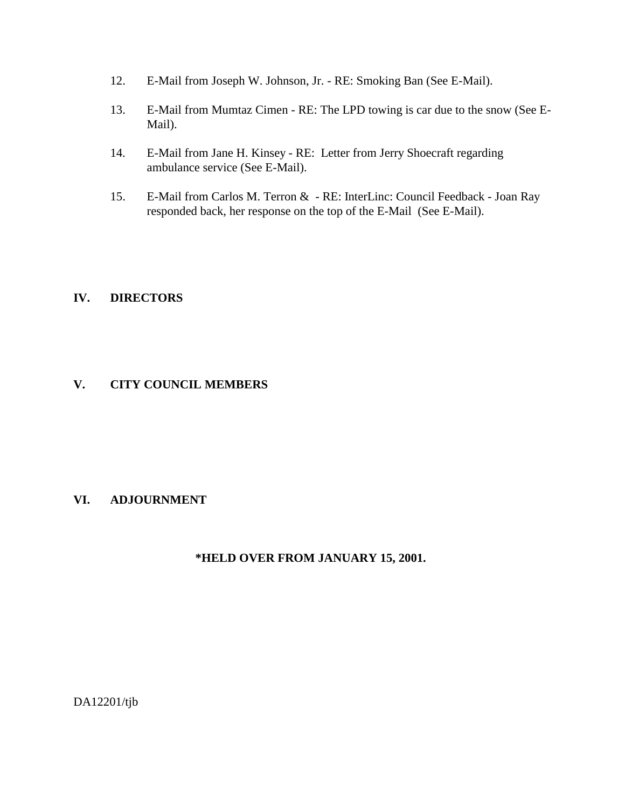- 12. E-Mail from Joseph W. Johnson, Jr. RE: Smoking Ban (See E-Mail).
- 13. E-Mail from Mumtaz Cimen RE: The LPD towing is car due to the snow (See E-Mail).
- 14. E-Mail from Jane H. Kinsey RE: Letter from Jerry Shoecraft regarding ambulance service (See E-Mail).
- 15. E-Mail from Carlos M. Terron & RE: InterLinc: Council Feedback Joan Ray responded back, her response on the top of the E-Mail (See E-Mail).

## **IV. DIRECTORS**

## **V. CITY COUNCIL MEMBERS**

## **VI. ADJOURNMENT**

## **\*HELD OVER FROM JANUARY 15, 2001.**

DA12201/tjb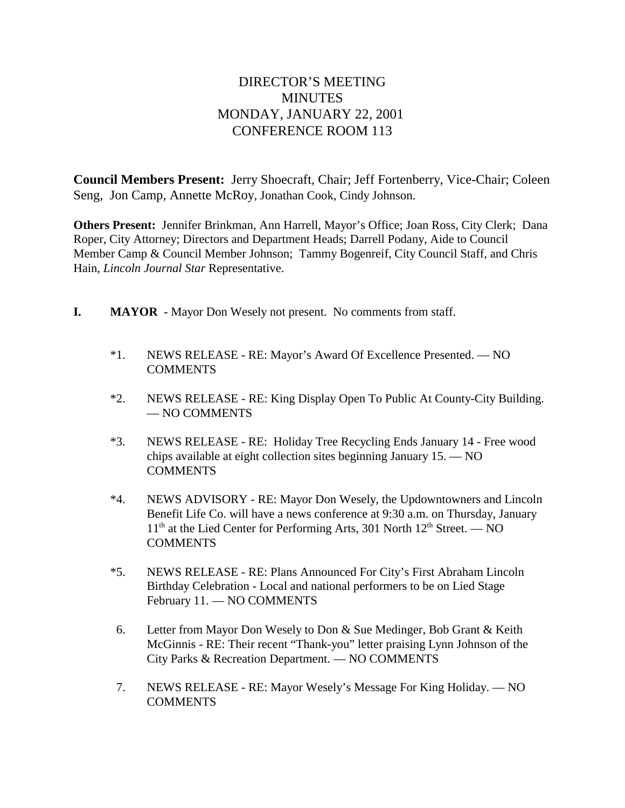# DIRECTOR'S MEETING **MINUTES** MONDAY, JANUARY 22, 2001 CONFERENCE ROOM 113

**Council Members Present:** Jerry Shoecraft, Chair; Jeff Fortenberry, Vice-Chair; Coleen Seng, Jon Camp, Annette McRoy, Jonathan Cook, Cindy Johnson.

**Others Present:** Jennifer Brinkman, Ann Harrell, Mayor's Office; Joan Ross, City Clerk; Dana Roper, City Attorney; Directors and Department Heads; Darrell Podany, Aide to Council Member Camp & Council Member Johnson; Tammy Bogenreif, City Council Staff, and Chris Hain, *Lincoln Journal Star* Representative.

- **I. MAYOR**  Mayor Don Wesely not present. No comments from staff.
	- \*1. NEWS RELEASE RE: Mayor's Award Of Excellence Presented. NO **COMMENTS**
	- \*2. NEWS RELEASE RE: King Display Open To Public At County-City Building. — NO COMMENTS
	- \*3. NEWS RELEASE RE: Holiday Tree Recycling Ends January 14 Free wood chips available at eight collection sites beginning January 15. — NO **COMMENTS**
	- \*4. NEWS ADVISORY RE: Mayor Don Wesely, the Updowntowners and Lincoln Benefit Life Co. will have a news conference at 9:30 a.m. on Thursday, January  $11<sup>th</sup>$  at the Lied Center for Performing Arts, 301 North  $12<sup>th</sup>$  Street. — NO **COMMENTS**
	- \*5. NEWS RELEASE RE: Plans Announced For City's First Abraham Lincoln Birthday Celebration - Local and national performers to be on Lied Stage February 11. — NO COMMENTS
	- 6. Letter from Mayor Don Wesely to Don & Sue Medinger, Bob Grant & Keith McGinnis - RE: Their recent "Thank-you" letter praising Lynn Johnson of the City Parks & Recreation Department. — NO COMMENTS
	- 7. NEWS RELEASE RE: Mayor Wesely's Message For King Holiday. NO **COMMENTS**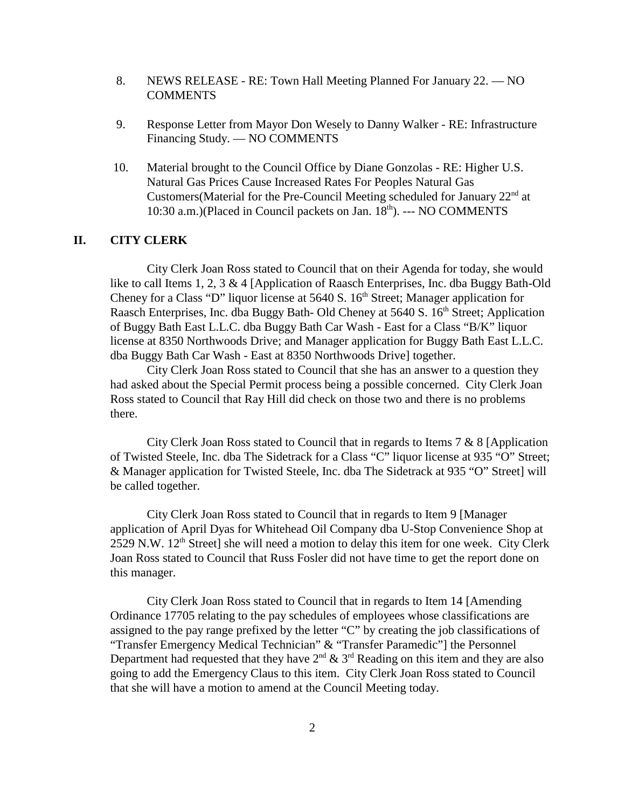- 8. NEWS RELEASE RE: Town Hall Meeting Planned For January 22. NO **COMMENTS**
- 9. Response Letter from Mayor Don Wesely to Danny Walker RE: Infrastructure Financing Study. — NO COMMENTS
- 10. Material brought to the Council Office by Diane Gonzolas RE: Higher U.S. Natural Gas Prices Cause Increased Rates For Peoples Natural Gas Customers(Material for the Pre-Council Meeting scheduled for January  $22<sup>nd</sup>$  at 10:30 a.m.)(Placed in Council packets on Jan. 18<sup>th</sup>). --- NO COMMENTS

#### **II. CITY CLERK**

City Clerk Joan Ross stated to Council that on their Agenda for today, she would like to call Items 1, 2, 3 & 4 [Application of Raasch Enterprises, Inc. dba Buggy Bath-Old Cheney for a Class "D" liquor license at 5640 S.  $16<sup>th</sup>$  Street; Manager application for Raasch Enterprises, Inc. dba Buggy Bath- Old Cheney at 5640 S. 16<sup>th</sup> Street; Application of Buggy Bath East L.L.C. dba Buggy Bath Car Wash - East for a Class "B/K" liquor license at 8350 Northwoods Drive; and Manager application for Buggy Bath East L.L.C. dba Buggy Bath Car Wash - East at 8350 Northwoods Drive] together.

City Clerk Joan Ross stated to Council that she has an answer to a question they had asked about the Special Permit process being a possible concerned. City Clerk Joan Ross stated to Council that Ray Hill did check on those two and there is no problems there.

City Clerk Joan Ross stated to Council that in regards to Items 7 & 8 [Application of Twisted Steele, Inc. dba The Sidetrack for a Class "C" liquor license at 935 "O" Street; & Manager application for Twisted Steele, Inc. dba The Sidetrack at 935 "O" Street] will be called together.

City Clerk Joan Ross stated to Council that in regards to Item 9 [Manager application of April Dyas for Whitehead Oil Company dba U-Stop Convenience Shop at 2529 N.W.  $12<sup>th</sup>$  Street] she will need a motion to delay this item for one week. City Clerk Joan Ross stated to Council that Russ Fosler did not have time to get the report done on this manager.

City Clerk Joan Ross stated to Council that in regards to Item 14 [Amending Ordinance 17705 relating to the pay schedules of employees whose classifications are assigned to the pay range prefixed by the letter "C" by creating the job classifications of "Transfer Emergency Medical Technician" & "Transfer Paramedic"] the Personnel Department had requested that they have  $2<sup>nd</sup>$  &  $3<sup>rd</sup>$  Reading on this item and they are also going to add the Emergency Claus to this item. City Clerk Joan Ross stated to Council that she will have a motion to amend at the Council Meeting today.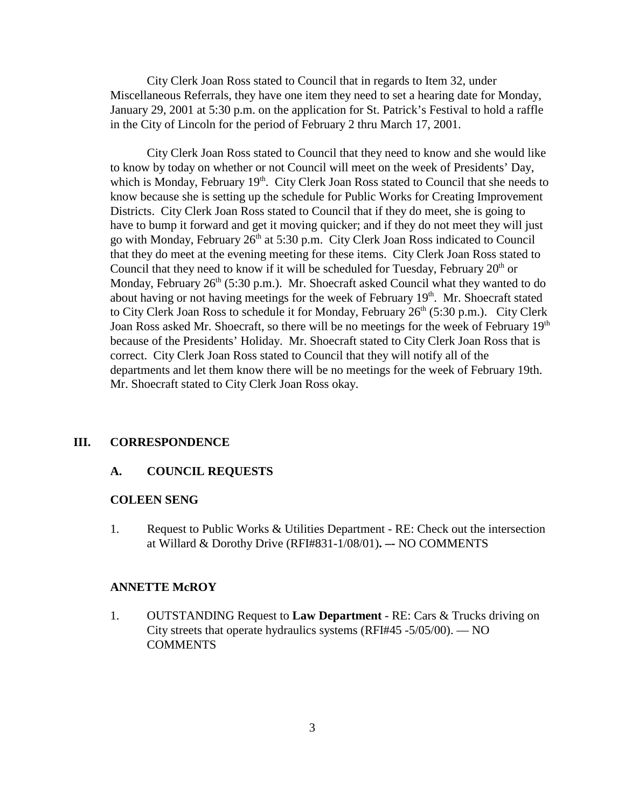City Clerk Joan Ross stated to Council that in regards to Item 32, under Miscellaneous Referrals, they have one item they need to set a hearing date for Monday, January 29, 2001 at 5:30 p.m. on the application for St. Patrick's Festival to hold a raffle in the City of Lincoln for the period of February 2 thru March 17, 2001.

City Clerk Joan Ross stated to Council that they need to know and she would like to know by today on whether or not Council will meet on the week of Presidents' Day, which is Monday, February  $19<sup>th</sup>$ . City Clerk Joan Ross stated to Council that she needs to know because she is setting up the schedule for Public Works for Creating Improvement Districts. City Clerk Joan Ross stated to Council that if they do meet, she is going to have to bump it forward and get it moving quicker; and if they do not meet they will just go with Monday, February 26<sup>th</sup> at 5:30 p.m. City Clerk Joan Ross indicated to Council that they do meet at the evening meeting for these items. City Clerk Joan Ross stated to Council that they need to know if it will be scheduled for Tuesday, February  $20<sup>th</sup>$  or Monday, February  $26<sup>th</sup>$  (5:30 p.m.). Mr. Shoecraft asked Council what they wanted to do about having or not having meetings for the week of February 19<sup>th</sup>. Mr. Shoecraft stated to City Clerk Joan Ross to schedule it for Monday, February  $26<sup>th</sup>$  (5:30 p.m.). City Clerk Joan Ross asked Mr. Shoecraft, so there will be no meetings for the week of February 19<sup>th</sup> because of the Presidents' Holiday. Mr. Shoecraft stated to City Clerk Joan Ross that is correct. City Clerk Joan Ross stated to Council that they will notify all of the departments and let them know there will be no meetings for the week of February 19th. Mr. Shoecraft stated to City Clerk Joan Ross okay.

#### **III. CORRESPONDENCE**

#### **A. COUNCIL REQUESTS**

#### **COLEEN SENG**

1. Request to Public Works & Utilities Department - RE: Check out the intersection at Willard & Dorothy Drive (RFI#831-1/08/01)**. –-** NO COMMENTS

#### **ANNETTE McROY**

1. OUTSTANDING Request to **Law Department** - RE: Cars & Trucks driving on City streets that operate hydraulics systems (RFI#45 -5/05/00). — NO **COMMENTS**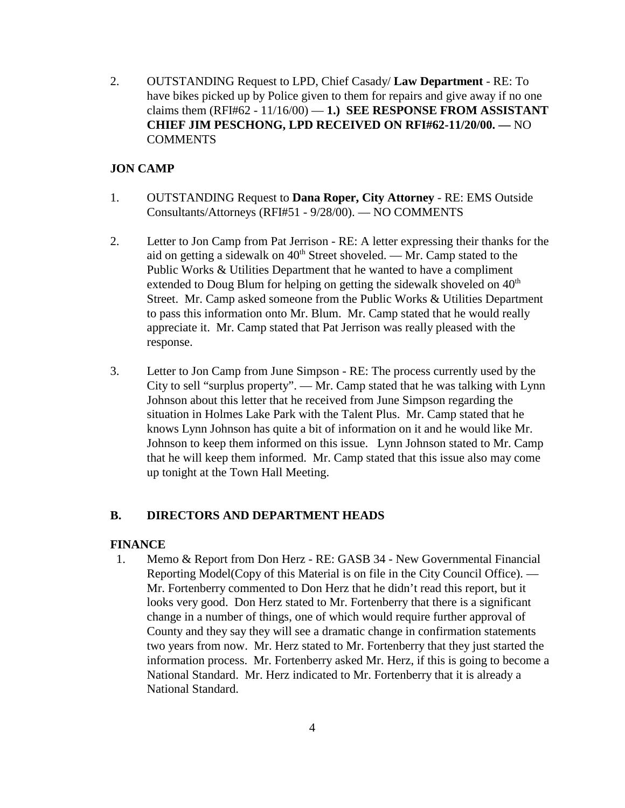2. OUTSTANDING Request to LPD, Chief Casady/ **Law Department** - RE: To have bikes picked up by Police given to them for repairs and give away if no one claims them  $(RFI#62 - 11/16/00) - 1$ .) **SEE RESPONSE FROM ASSISTANT CHIEF JIM PESCHONG, LPD RECEIVED ON RFI#62-11/20/00. —** NO COMMENTS

## **JON CAMP**

- 1. OUTSTANDING Request to **Dana Roper, City Attorney** RE: EMS Outside Consultants/Attorneys (RFI#51 - 9/28/00). — NO COMMENTS
- 2. Letter to Jon Camp from Pat Jerrison RE: A letter expressing their thanks for the aid on getting a sidewalk on  $40<sup>th</sup>$  Street shoveled. — Mr. Camp stated to the Public Works & Utilities Department that he wanted to have a compliment extended to Doug Blum for helping on getting the sidewalk shoveled on  $40<sup>th</sup>$ Street. Mr. Camp asked someone from the Public Works & Utilities Department to pass this information onto Mr. Blum. Mr. Camp stated that he would really appreciate it. Mr. Camp stated that Pat Jerrison was really pleased with the response.
- 3. Letter to Jon Camp from June Simpson RE: The process currently used by the City to sell "surplus property". — Mr. Camp stated that he was talking with Lynn Johnson about this letter that he received from June Simpson regarding the situation in Holmes Lake Park with the Talent Plus. Mr. Camp stated that he knows Lynn Johnson has quite a bit of information on it and he would like Mr. Johnson to keep them informed on this issue. Lynn Johnson stated to Mr. Camp that he will keep them informed. Mr. Camp stated that this issue also may come up tonight at the Town Hall Meeting.

### **B. DIRECTORS AND DEPARTMENT HEADS**

#### **FINANCE**

1. Memo & Report from Don Herz - RE: GASB 34 - New Governmental Financial Reporting Model(Copy of this Material is on file in the City Council Office). — Mr. Fortenberry commented to Don Herz that he didn't read this report, but it looks very good. Don Herz stated to Mr. Fortenberry that there is a significant change in a number of things, one of which would require further approval of County and they say they will see a dramatic change in confirmation statements two years from now. Mr. Herz stated to Mr. Fortenberry that they just started the information process. Mr. Fortenberry asked Mr. Herz, if this is going to become a National Standard. Mr. Herz indicated to Mr. Fortenberry that it is already a National Standard.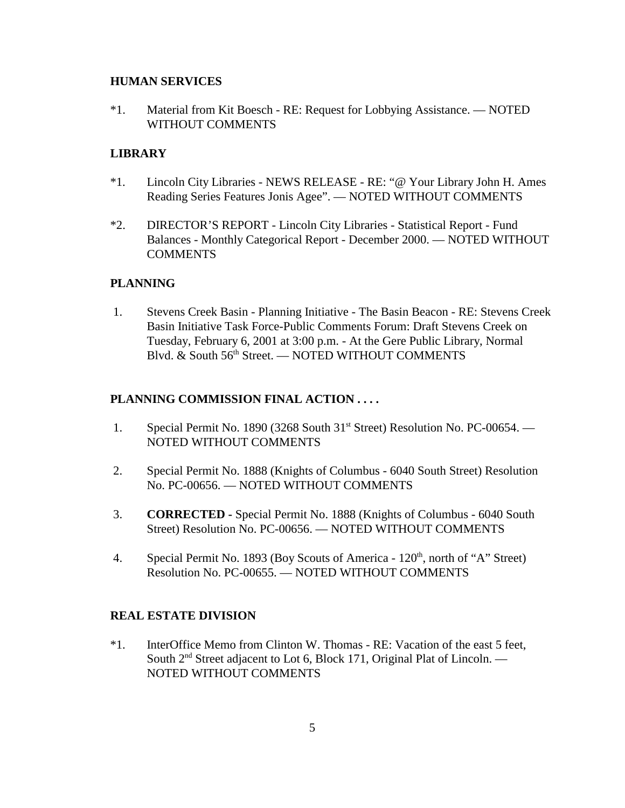#### **HUMAN SERVICES**

\*1. Material from Kit Boesch - RE: Request for Lobbying Assistance. — NOTED WITHOUT COMMENTS

### **LIBRARY**

- \*1. Lincoln City Libraries NEWS RELEASE RE: "@ Your Library John H. Ames Reading Series Features Jonis Agee". — NOTED WITHOUT COMMENTS
- \*2. DIRECTOR'S REPORT Lincoln City Libraries Statistical Report Fund Balances - Monthly Categorical Report - December 2000. — NOTED WITHOUT COMMENTS

### **PLANNING**

 1. Stevens Creek Basin - Planning Initiative - The Basin Beacon - RE: Stevens Creek Basin Initiative Task Force-Public Comments Forum: Draft Stevens Creek on Tuesday, February 6, 2001 at 3:00 p.m. - At the Gere Public Library, Normal Blvd. & South 56th Street. — NOTED WITHOUT COMMENTS

### **PLANNING COMMISSION FINAL ACTION . . . .**

- 1. Special Permit No. 1890 (3268 South 31<sup>st</sup> Street) Resolution No. PC-00654. NOTED WITHOUT COMMENTS
- 2. Special Permit No. 1888 (Knights of Columbus 6040 South Street) Resolution No. PC-00656. — NOTED WITHOUT COMMENTS
- 3. **CORRECTED** Special Permit No. 1888 (Knights of Columbus 6040 South Street) Resolution No. PC-00656. — NOTED WITHOUT COMMENTS
- 4. Special Permit No. 1893 (Boy Scouts of America  $120<sup>th</sup>$ , north of "A" Street) Resolution No. PC-00655. — NOTED WITHOUT COMMENTS

### **REAL ESTATE DIVISION**

\*1. InterOffice Memo from Clinton W. Thomas - RE: Vacation of the east 5 feet, South  $2<sup>nd</sup>$  Street adjacent to Lot 6, Block 171, Original Plat of Lincoln. — NOTED WITHOUT COMMENTS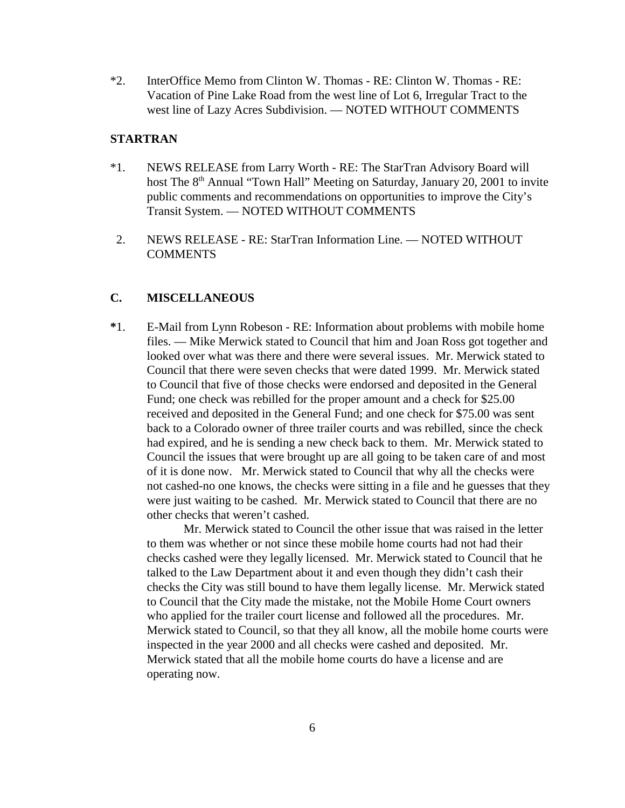\*2. InterOffice Memo from Clinton W. Thomas - RE: Clinton W. Thomas - RE: Vacation of Pine Lake Road from the west line of Lot 6, Irregular Tract to the west line of Lazy Acres Subdivision. — NOTED WITHOUT COMMENTS

#### **STARTRAN**

- \*1. NEWS RELEASE from Larry Worth RE: The StarTran Advisory Board will host The 8<sup>th</sup> Annual "Town Hall" Meeting on Saturday, January 20, 2001 to invite public comments and recommendations on opportunities to improve the City's Transit System. — NOTED WITHOUT COMMENTS
- 2. NEWS RELEASE RE: StarTran Information Line. NOTED WITHOUT **COMMENTS**

### **C. MISCELLANEOUS**

**\***1. E-Mail from Lynn Robeson - RE: Information about problems with mobile home files. — Mike Merwick stated to Council that him and Joan Ross got together and looked over what was there and there were several issues. Mr. Merwick stated to Council that there were seven checks that were dated 1999. Mr. Merwick stated to Council that five of those checks were endorsed and deposited in the General Fund; one check was rebilled for the proper amount and a check for \$25.00 received and deposited in the General Fund; and one check for \$75.00 was sent back to a Colorado owner of three trailer courts and was rebilled, since the check had expired, and he is sending a new check back to them. Mr. Merwick stated to Council the issues that were brought up are all going to be taken care of and most of it is done now. Mr. Merwick stated to Council that why all the checks were not cashed-no one knows, the checks were sitting in a file and he guesses that they were just waiting to be cashed. Mr. Merwick stated to Council that there are no other checks that weren't cashed.

Mr. Merwick stated to Council the other issue that was raised in the letter to them was whether or not since these mobile home courts had not had their checks cashed were they legally licensed. Mr. Merwick stated to Council that he talked to the Law Department about it and even though they didn't cash their checks the City was still bound to have them legally license. Mr. Merwick stated to Council that the City made the mistake, not the Mobile Home Court owners who applied for the trailer court license and followed all the procedures. Mr. Merwick stated to Council, so that they all know, all the mobile home courts were inspected in the year 2000 and all checks were cashed and deposited. Mr. Merwick stated that all the mobile home courts do have a license and are operating now.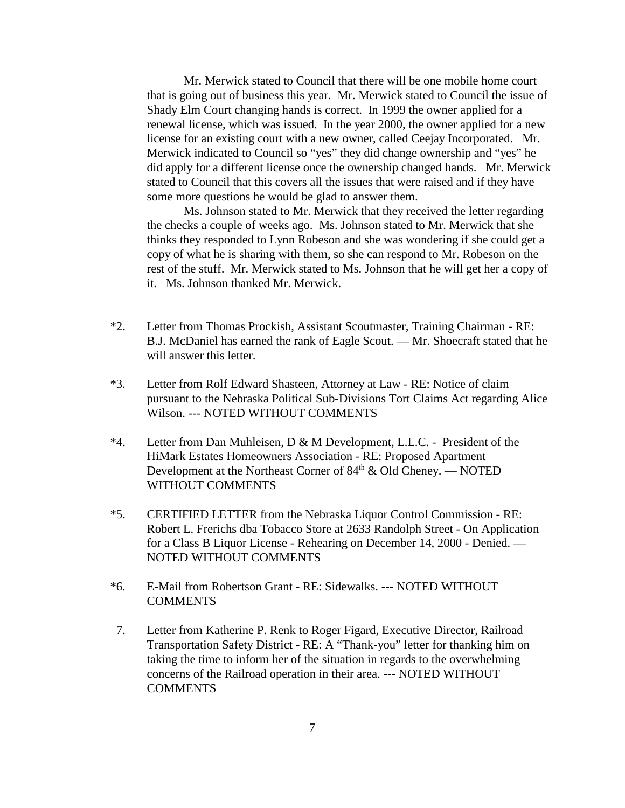Mr. Merwick stated to Council that there will be one mobile home court that is going out of business this year. Mr. Merwick stated to Council the issue of Shady Elm Court changing hands is correct. In 1999 the owner applied for a renewal license, which was issued. In the year 2000, the owner applied for a new license for an existing court with a new owner, called Ceejay Incorporated. Mr. Merwick indicated to Council so "yes" they did change ownership and "yes" he did apply for a different license once the ownership changed hands. Mr. Merwick stated to Council that this covers all the issues that were raised and if they have some more questions he would be glad to answer them.

Ms. Johnson stated to Mr. Merwick that they received the letter regarding the checks a couple of weeks ago. Ms. Johnson stated to Mr. Merwick that she thinks they responded to Lynn Robeson and she was wondering if she could get a copy of what he is sharing with them, so she can respond to Mr. Robeson on the rest of the stuff. Mr. Merwick stated to Ms. Johnson that he will get her a copy of it. Ms. Johnson thanked Mr. Merwick.

- \*2. Letter from Thomas Prockish, Assistant Scoutmaster, Training Chairman RE: B.J. McDaniel has earned the rank of Eagle Scout. — Mr. Shoecraft stated that he will answer this letter.
- \*3. Letter from Rolf Edward Shasteen, Attorney at Law RE: Notice of claim pursuant to the Nebraska Political Sub-Divisions Tort Claims Act regarding Alice Wilson. --- NOTED WITHOUT COMMENTS
- \*4. Letter from Dan Muhleisen, D & M Development, L.L.C. President of the HiMark Estates Homeowners Association - RE: Proposed Apartment Development at the Northeast Corner of  $84<sup>th</sup>$  & Old Cheney. — NOTED WITHOUT COMMENTS
- \*5. CERTIFIED LETTER from the Nebraska Liquor Control Commission RE: Robert L. Frerichs dba Tobacco Store at 2633 Randolph Street - On Application for a Class B Liquor License - Rehearing on December 14, 2000 - Denied. — NOTED WITHOUT COMMENTS
- \*6. E-Mail from Robertson Grant RE: Sidewalks. --- NOTED WITHOUT **COMMENTS**
- 7. Letter from Katherine P. Renk to Roger Figard, Executive Director, Railroad Transportation Safety District - RE: A "Thank-you" letter for thanking him on taking the time to inform her of the situation in regards to the overwhelming concerns of the Railroad operation in their area. --- NOTED WITHOUT **COMMENTS**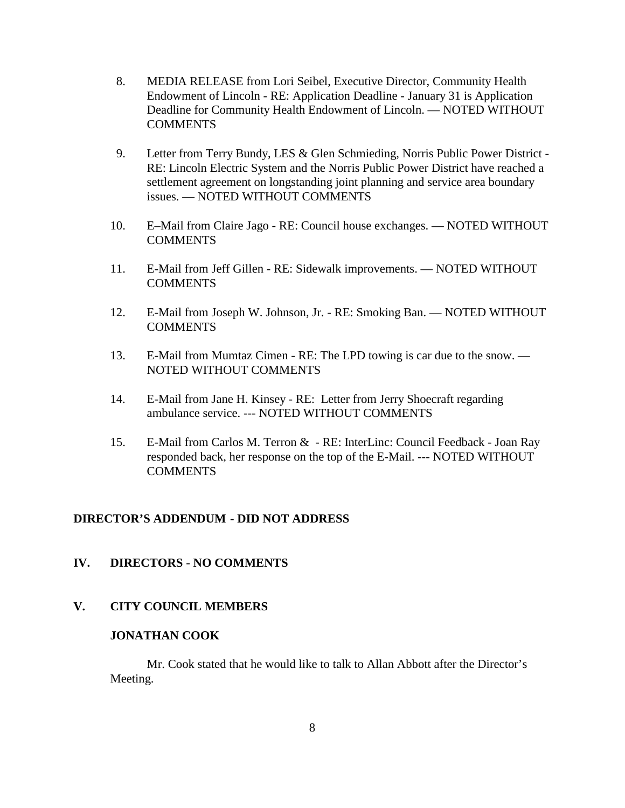- 8. MEDIA RELEASE from Lori Seibel, Executive Director, Community Health Endowment of Lincoln - RE: Application Deadline - January 31 is Application Deadline for Community Health Endowment of Lincoln. — NOTED WITHOUT **COMMENTS**
- 9. Letter from Terry Bundy, LES & Glen Schmieding, Norris Public Power District RE: Lincoln Electric System and the Norris Public Power District have reached a settlement agreement on longstanding joint planning and service area boundary issues. — NOTED WITHOUT COMMENTS
- 10. E–Mail from Claire Jago RE: Council house exchanges. NOTED WITHOUT COMMENTS
- 11. E-Mail from Jeff Gillen RE: Sidewalk improvements. NOTED WITHOUT COMMENTS
- 12. E-Mail from Joseph W. Johnson, Jr. RE: Smoking Ban. NOTED WITHOUT **COMMENTS**
- 13. E-Mail from Mumtaz Cimen RE: The LPD towing is car due to the snow. NOTED WITHOUT COMMENTS
- 14. E-Mail from Jane H. Kinsey RE: Letter from Jerry Shoecraft regarding ambulance service. --- NOTED WITHOUT COMMENTS
- 15. E-Mail from Carlos M. Terron & RE: InterLinc: Council Feedback Joan Ray responded back, her response on the top of the E-Mail. --- NOTED WITHOUT **COMMENTS**

### **DIRECTOR'S ADDENDUM - DID NOT ADDRESS**

### **IV. DIRECTORS** - **NO COMMENTS**

### **V. CITY COUNCIL MEMBERS**

### **JONATHAN COOK**

Mr. Cook stated that he would like to talk to Allan Abbott after the Director's Meeting.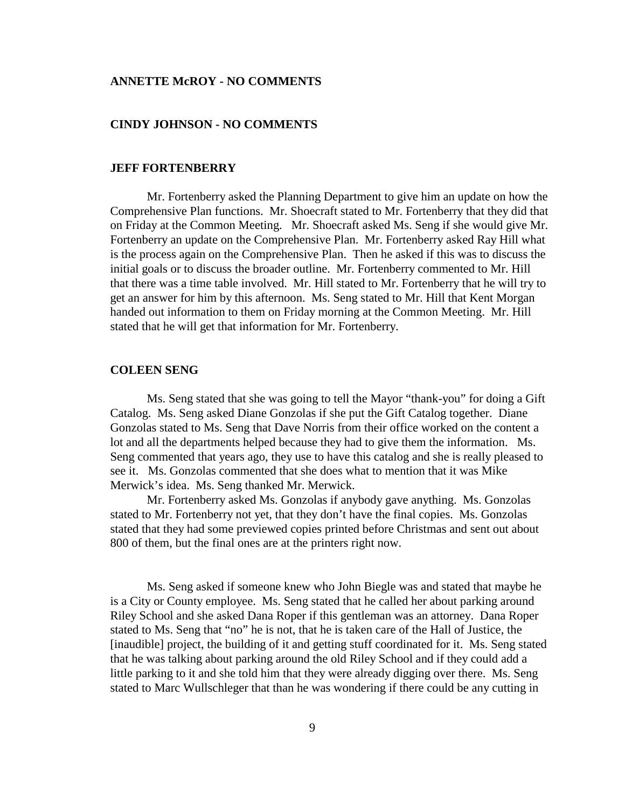#### **ANNETTE McROY - NO COMMENTS**

#### **CINDY JOHNSON - NO COMMENTS**

#### **JEFF FORTENBERRY**

Mr. Fortenberry asked the Planning Department to give him an update on how the Comprehensive Plan functions. Mr. Shoecraft stated to Mr. Fortenberry that they did that on Friday at the Common Meeting. Mr. Shoecraft asked Ms. Seng if she would give Mr. Fortenberry an update on the Comprehensive Plan. Mr. Fortenberry asked Ray Hill what is the process again on the Comprehensive Plan. Then he asked if this was to discuss the initial goals or to discuss the broader outline. Mr. Fortenberry commented to Mr. Hill that there was a time table involved. Mr. Hill stated to Mr. Fortenberry that he will try to get an answer for him by this afternoon. Ms. Seng stated to Mr. Hill that Kent Morgan handed out information to them on Friday morning at the Common Meeting. Mr. Hill stated that he will get that information for Mr. Fortenberry.

#### **COLEEN SENG**

Ms. Seng stated that she was going to tell the Mayor "thank-you" for doing a Gift Catalog. Ms. Seng asked Diane Gonzolas if she put the Gift Catalog together. Diane Gonzolas stated to Ms. Seng that Dave Norris from their office worked on the content a lot and all the departments helped because they had to give them the information. Ms. Seng commented that years ago, they use to have this catalog and she is really pleased to see it. Ms. Gonzolas commented that she does what to mention that it was Mike Merwick's idea. Ms. Seng thanked Mr. Merwick.

Mr. Fortenberry asked Ms. Gonzolas if anybody gave anything. Ms. Gonzolas stated to Mr. Fortenberry not yet, that they don't have the final copies. Ms. Gonzolas stated that they had some previewed copies printed before Christmas and sent out about 800 of them, but the final ones are at the printers right now.

Ms. Seng asked if someone knew who John Biegle was and stated that maybe he is a City or County employee. Ms. Seng stated that he called her about parking around Riley School and she asked Dana Roper if this gentleman was an attorney. Dana Roper stated to Ms. Seng that "no" he is not, that he is taken care of the Hall of Justice, the [inaudible] project, the building of it and getting stuff coordinated for it. Ms. Seng stated that he was talking about parking around the old Riley School and if they could add a little parking to it and she told him that they were already digging over there. Ms. Seng stated to Marc Wullschleger that than he was wondering if there could be any cutting in